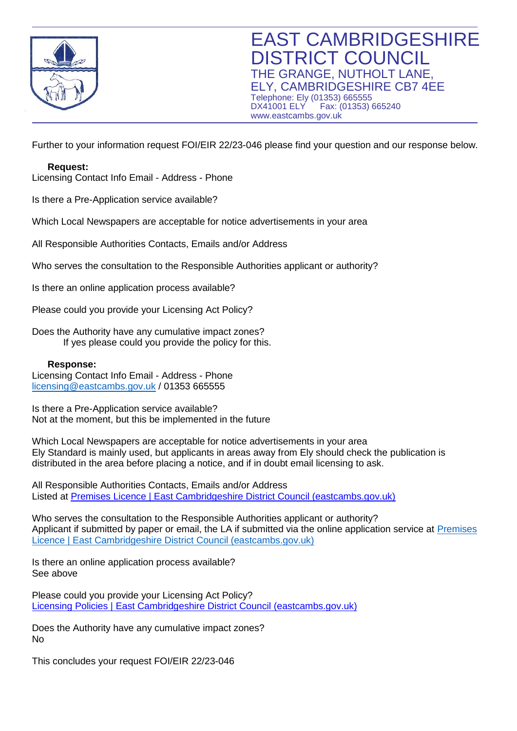

Further to your information request FOI/EIR 22/23-046 please find your question and our response below.

**Request:**  Licensing Contact Info Email - Address - Phone

Is there a Pre-Application service available?

Which Local Newspapers are acceptable for notice advertisements in your area

All Responsible Authorities Contacts, Emails and/or Address

Who serves the consultation to the Responsible Authorities applicant or authority?

Is there an online application process available?

Please could you provide your Licensing Act Policy?

Does the Authority have any cumulative impact zones? If yes please could you provide the policy for this.

## **Response:**

Licensing Contact Info Email - Address - Phone [licensing@eastcambs.gov.uk](mailto:licensing@eastcambs.gov.uk) / 01353 665555

Is there a Pre-Application service available? Not at the moment, but this be implemented in the future

Which Local Newspapers are acceptable for notice advertisements in your area Ely Standard is mainly used, but applicants in areas away from Ely should check the publication is distributed in the area before placing a notice, and if in doubt email licensing to ask.

All Responsible Authorities Contacts, Emails and/or Address Listed at [Premises Licence | East Cambridgeshire District Council \(eastcambs.gov.uk\)](https://www.eastcambs.gov.uk/licensing/premises-licence)

Who serves the consultation to the Responsible Authorities applicant or authority? Applicant if submitted by paper or email, the LA if submitted via the online application service at [Premises](https://www.eastcambs.gov.uk/licensing/premises-licence)  [Licence | East Cambridgeshire District Council \(eastcambs.gov.uk\)](https://www.eastcambs.gov.uk/licensing/premises-licence)

Is there an online application process available? See above

Please could you provide your Licensing Act Policy? [Licensing Policies | East Cambridgeshire District Council \(eastcambs.gov.uk\)](https://www.eastcambs.gov.uk/licensing/licensing-policies)

Does the Authority have any cumulative impact zones? No

This concludes your request FOI/EIR 22/23-046